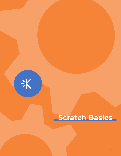

# **Scratch Basics**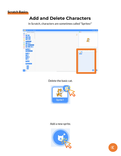

#### **Add and Delete Characters**

In Scratch, characters are sometimes called "Sprites!"



Delete the basic cat.



#### Add a new sprite.

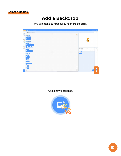

#### **Add a Backdrop**

We can make our background more colorful.



Add a new backdrop.

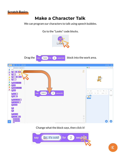

# **Make a Character Talk**

We can program our characters to talk using speech bubbles.





Drag the  $\left| \begin{array}{cc} \frac{1}{2} & \frac{1}{2} \\ \frac{1}{2} & \frac{1}{2} \\ \frac{1}{2} & \frac{1}{2} \end{array} \right|$  for  $\left| \begin{array}{cc} 2 \\ 2 \end{array} \right|$  seconds block into the work area.



Change what the block says, then click it!

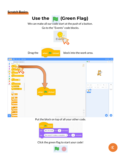



We can make all our code start at the push of a button. Go to the "Events" code blocks.



Put the block on top of all your other code.



Click the green flag to start your code!

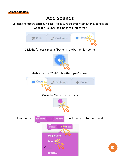

## **Add Sounds**

Scratch characters can play noises! Make sure that your computer's sound is on. Go to the "Sounds" tab in the top-left corner.



ξK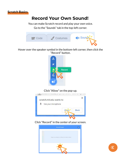

## **Record Your Own Sound!**

You can make Scratch record and play your own voice.

Go to the "Sounds" tab in the top-left corner.



Hover over the speaker symbol in the bottom-left corner, then click the "Record" button.



#### Click "Allow" on the pop-up.

aa uuu minaaay projecoy euroor, curomii - gerou × scratch.mit.edu wants to Use your microphone



Click "Record" in the center of your screen.

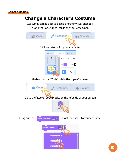

## **Change a Character's Costume**

Costumes can be outfits, poses, or other visual changes.

Go to the "Costumes" tab in the top-left corner.

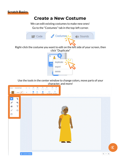

#### **Create a New Costume**

We can edit existing costumes to make new ones!

Go to the "Costumes" tab in the top-left corner.



Use the tools in the center window to change colors, move parts of your character, and more!

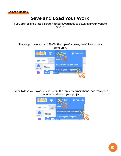# **Save and Load Your Work**

If you aren't signed into a Scratch account, you need to download your work to save it.

To save your work, click "File" in the top-left corner, then "Save to your computer".



Later, to load your work, click "File" in the top-left corner, then "Load from your computer", and select your project.